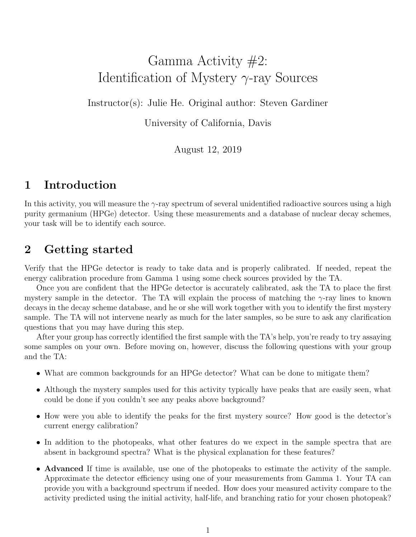# Gamma Activity #2: Identification of Mystery  $\gamma$ -ray Sources

Instructor(s): Julie He. Original author: Steven Gardiner

University of California, Davis

August 12, 2019

### 1 Introduction

In this activity, you will measure the  $\gamma$ -ray spectrum of several unidentified radioactive sources using a high purity germanium (HPGe) detector. Using these measurements and a database of nuclear decay schemes, your task will be to identify each source.

### 2 Getting started

Verify that the HPGe detector is ready to take data and is properly calibrated. If needed, repeat the energy calibration procedure from Gamma 1 using some check sources provided by the TA.

Once you are confident that the HPGe detector is accurately calibrated, ask the TA to place the first mystery sample in the detector. The TA will explain the process of matching the  $\gamma$ -ray lines to known decays in the decay scheme database, and he or she will work together with you to identify the first mystery sample. The TA will not intervene nearly as much for the later samples, so be sure to ask any clarification questions that you may have during this step.

After your group has correctly identified the first sample with the TA's help, you're ready to try assaying some samples on your own. Before moving on, however, discuss the following questions with your group and the TA:

- What are common backgrounds for an HPGe detector? What can be done to mitigate them?
- Although the mystery samples used for this activity typically have peaks that are easily seen, what could be done if you couldn't see any peaks above background?
- How were you able to identify the peaks for the first mystery source? How good is the detector's current energy calibration?
- In addition to the photopeaks, what other features do we expect in the sample spectra that are absent in background spectra? What is the physical explanation for these features?
- Advanced If time is available, use one of the photopeaks to estimate the activity of the sample. Approximate the detector efficiency using one of your measurements from Gamma 1. Your TA can provide you with a background spectrum if needed. How does your measured activity compare to the activity predicted using the initial activity, half-life, and branching ratio for your chosen photopeak?